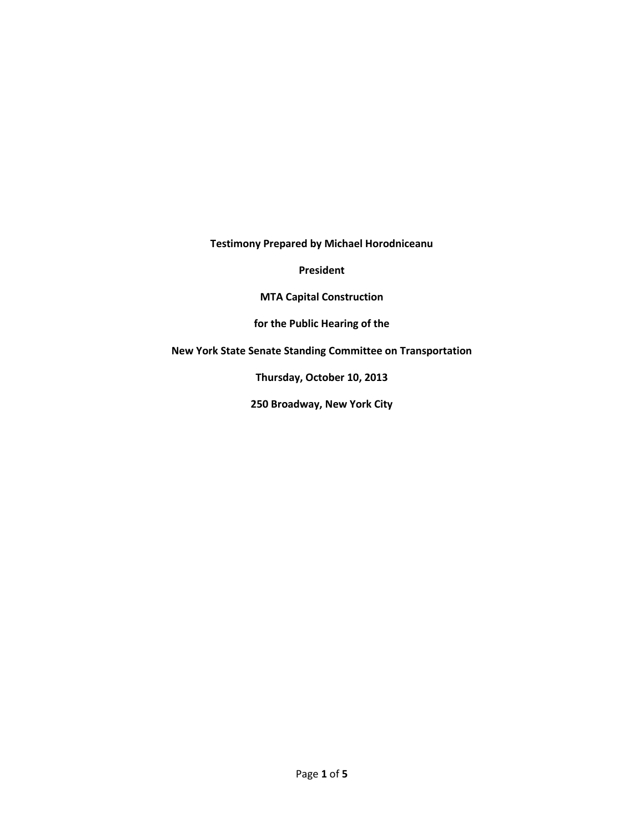**Testimony Prepared by Michael Horodniceanu**

**President**

**MTA Capital Construction**

**for the Public Hearing of the** 

**New York State Senate Standing Committee on Transportation**

**Thursday, October 10, 2013**

**250 Broadway, New York City**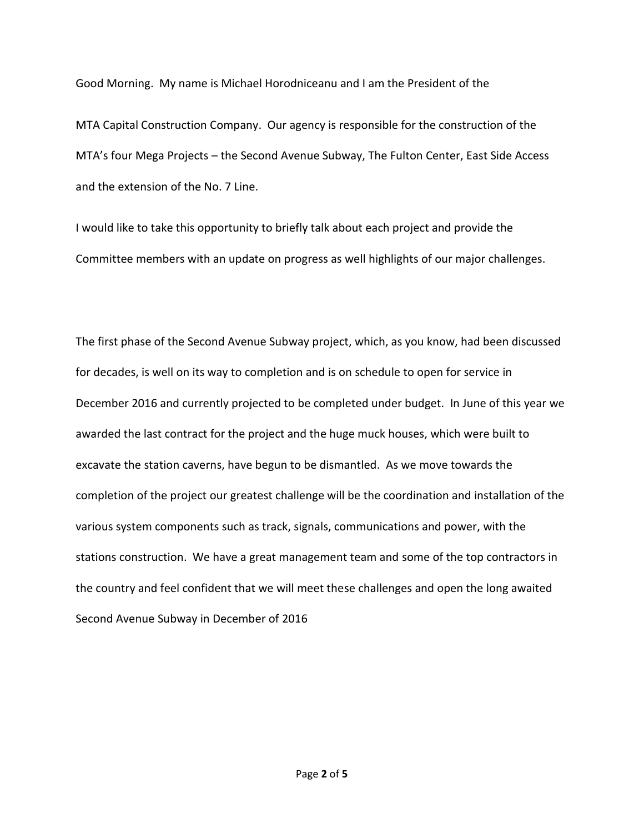Good Morning. My name is Michael Horodniceanu and I am the President of the

MTA Capital Construction Company. Our agency is responsible for the construction of the MTA's four Mega Projects – the Second Avenue Subway, The Fulton Center, East Side Access and the extension of the No. 7 Line.

I would like to take this opportunity to briefly talk about each project and provide the Committee members with an update on progress as well highlights of our major challenges.

The first phase of the Second Avenue Subway project, which, as you know, had been discussed for decades, is well on its way to completion and is on schedule to open for service in December 2016 and currently projected to be completed under budget. In June of this year we awarded the last contract for the project and the huge muck houses, which were built to excavate the station caverns, have begun to be dismantled. As we move towards the completion of the project our greatest challenge will be the coordination and installation of the various system components such as track, signals, communications and power, with the stations construction. We have a great management team and some of the top contractors in the country and feel confident that we will meet these challenges and open the long awaited Second Avenue Subway in December of 2016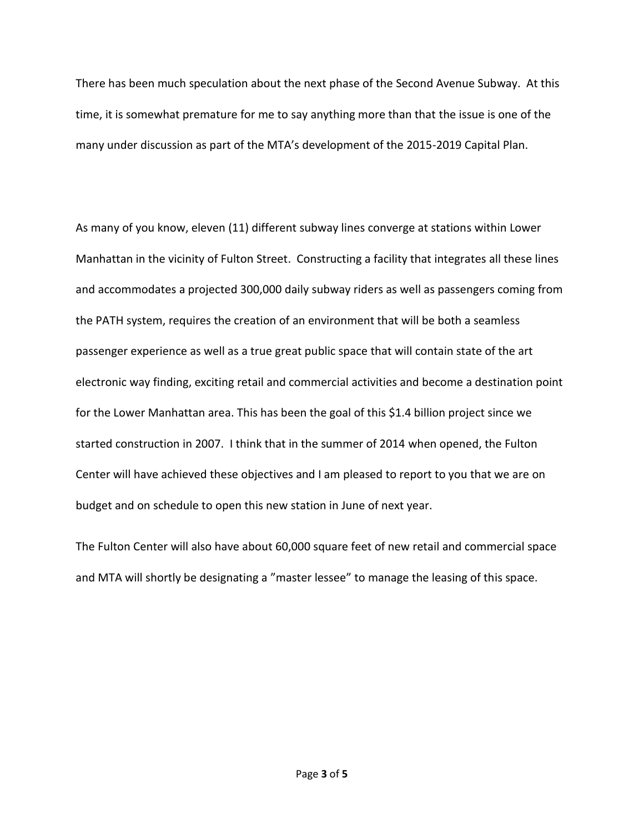There has been much speculation about the next phase of the Second Avenue Subway. At this time, it is somewhat premature for me to say anything more than that the issue is one of the many under discussion as part of the MTA's development of the 2015-2019 Capital Plan.

As many of you know, eleven (11) different subway lines converge at stations within Lower Manhattan in the vicinity of Fulton Street. Constructing a facility that integrates all these lines and accommodates a projected 300,000 daily subway riders as well as passengers coming from the PATH system, requires the creation of an environment that will be both a seamless passenger experience as well as a true great public space that will contain state of the art electronic way finding, exciting retail and commercial activities and become a destination point for the Lower Manhattan area. This has been the goal of this \$1.4 billion project since we started construction in 2007. I think that in the summer of 2014 when opened, the Fulton Center will have achieved these objectives and I am pleased to report to you that we are on budget and on schedule to open this new station in June of next year.

The Fulton Center will also have about 60,000 square feet of new retail and commercial space and MTA will shortly be designating a "master lessee" to manage the leasing of this space.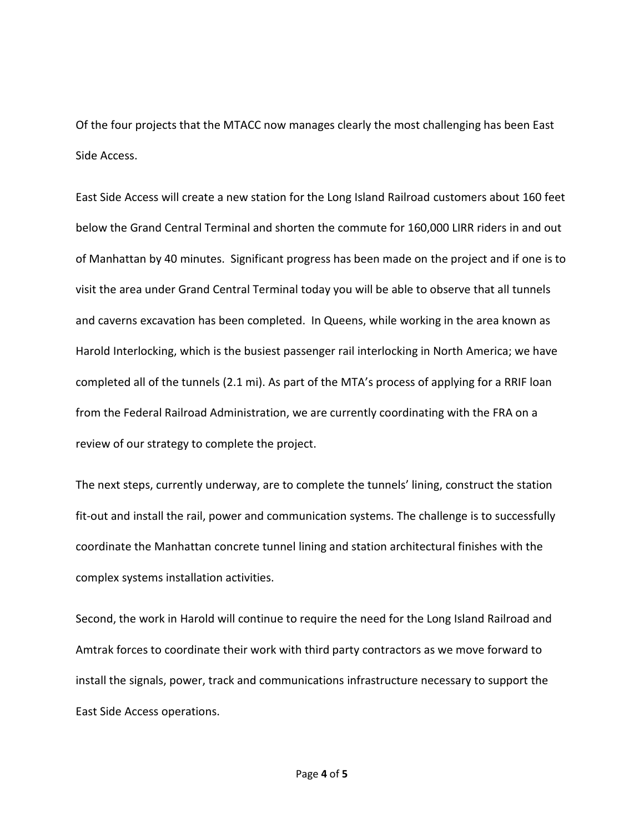Of the four projects that the MTACC now manages clearly the most challenging has been East Side Access.

East Side Access will create a new station for the Long Island Railroad customers about 160 feet below the Grand Central Terminal and shorten the commute for 160,000 LIRR riders in and out of Manhattan by 40 minutes. Significant progress has been made on the project and if one is to visit the area under Grand Central Terminal today you will be able to observe that all tunnels and caverns excavation has been completed. In Queens, while working in the area known as Harold Interlocking, which is the busiest passenger rail interlocking in North America; we have completed all of the tunnels (2.1 mi). As part of the MTA's process of applying for a RRIF loan from the Federal Railroad Administration, we are currently coordinating with the FRA on a review of our strategy to complete the project.

The next steps, currently underway, are to complete the tunnels' lining, construct the station fit-out and install the rail, power and communication systems. The challenge is to successfully coordinate the Manhattan concrete tunnel lining and station architectural finishes with the complex systems installation activities.

Second, the work in Harold will continue to require the need for the Long Island Railroad and Amtrak forces to coordinate their work with third party contractors as we move forward to install the signals, power, track and communications infrastructure necessary to support the East Side Access operations.